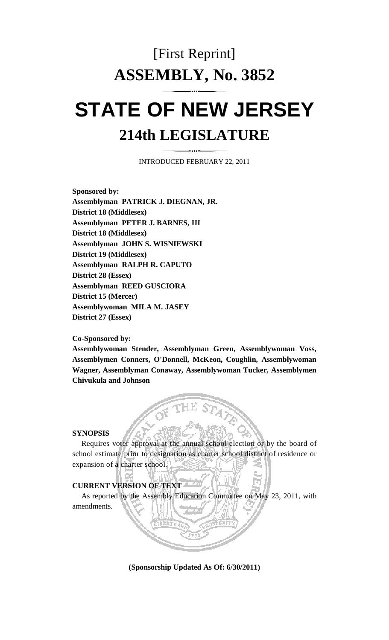# [First Reprint] **ASSEMBLY, No. 3852 STATE OF NEW JERSEY 214th LEGISLATURE**

INTRODUCED FEBRUARY 22, 2011

**Sponsored by: Assemblyman PATRICK J. DIEGNAN, JR. District 18 (Middlesex) Assemblyman PETER J. BARNES, III District 18 (Middlesex) Assemblyman JOHN S. WISNIEWSKI District 19 (Middlesex) Assemblyman RALPH R. CAPUTO District 28 (Essex) Assemblyman REED GUSCIORA District 15 (Mercer) Assemblywoman MILA M. JASEY District 27 (Essex)** 

## **Co-Sponsored by:**

**Assemblywoman Stender, Assemblyman Green, Assemblywoman Voss, Assemblymen Conners, O'Donnell, McKeon, Coughlin, Assemblywoman Wagner, Assemblyman Conaway, Assemblywoman Tucker, Assemblymen Chivukula and Johnson** 

#### **SYNOPSIS**

 Requires voter approval at the annual school election or by the board of school estimate prior to designation as charter school district of residence or expansion of a charter school.

## **CURRENT VERSION OF TEXT**

 As reported by the Assembly Education Committee on May 23, 2011, with amendments.

**(Sponsorship Updated As Of: 6/30/2011)**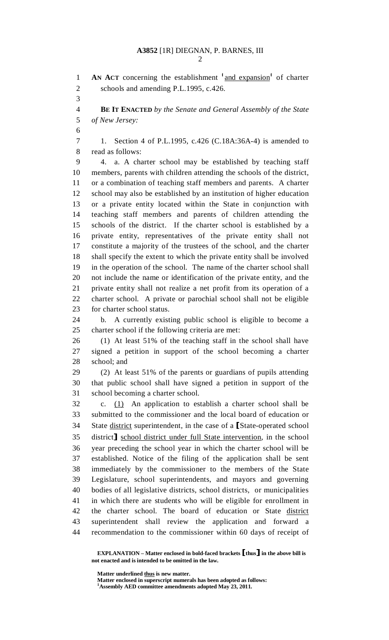2

1 **AN ACT** concerning the establishment <sup>1</sup> and expansion<sup>1</sup> of charter 2 schools and amending P.L.1995, c.426. 3 4 **BE IT ENACTED** *by the Senate and General Assembly of the State*  5 *of New Jersey:*  6 7 1. Section 4 of P.L.1995, c.426 (C.18A:36A-4) is amended to 8 read as follows: 9 4. a. A charter school may be established by teaching staff 10 members, parents with children attending the schools of the district, 11 or a combination of teaching staff members and parents. A charter 12 school may also be established by an institution of higher education 13 or a private entity located within the State in conjunction with 14 teaching staff members and parents of children attending the 15 schools of the district. If the charter school is established by a 16 private entity, representatives of the private entity shall not 17 constitute a majority of the trustees of the school, and the charter 18 shall specify the extent to which the private entity shall be involved 19 in the operation of the school. The name of the charter school shall 20 not include the name or identification of the private entity, and the 21 private entity shall not realize a net profit from its operation of a 22 charter school. A private or parochial school shall not be eligible 23 for charter school status. 24 b. A currently existing public school is eligible to become a 25 charter school if the following criteria are met: 26 (1) At least 51% of the teaching staff in the school shall have 27 signed a petition in support of the school becoming a charter 28 school; and 29 (2) At least 51% of the parents or guardians of pupils attending 30 that public school shall have signed a petition in support of the 31 school becoming a charter school. 32 c. (1) An application to establish a charter school shall be 33 submitted to the commissioner and the local board of education or 34 State district superintendent, in the case of a [State-operated school<br>35 district] school district under full State intervention, in the school 35 district school district under full State intervention, in the school vear preceding the school vear in which the charter school will be year preceding the school year in which the charter school will be 37 established. Notice of the filing of the application shall be sent 38 immediately by the commissioner to the members of the State 39 Legislature, school superintendents, and mayors and governing 40 bodies of all legislative districts, school districts, or municipalities 41 in which there are students who will be eligible for enrollment in 42 the charter school. The board of education or State district 43 superintendent shall review the application and forward a 44 recommendation to the commissioner within 60 days of receipt of

 **EXPLANATION – Matter enclosed in bold-faced brackets** [**thus**] **in the above bill is not enacted and is intended to be omitted in the law.** 

 **Matter underlined thus is new matter.** 

 **Matter enclosed in superscript numerals has been adopted as follows: 1 Assembly AED committee amendments adopted May 23, 2011.**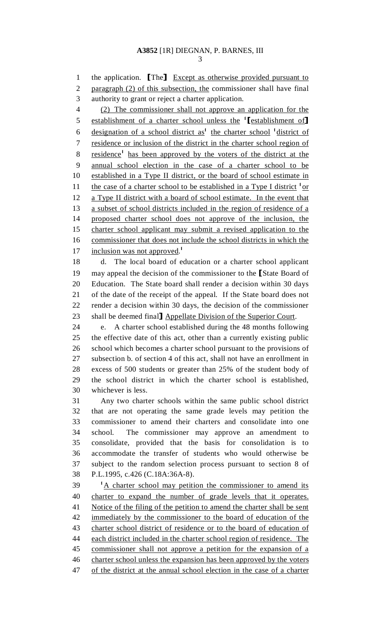1 the application. **[The]** Except as otherwise provided pursuant to<br>2 paragraph (2) of this subsection, the commissioner shall have final paragraph (2) of this subsection, the commissioner shall have final 3 authority to grant or reject a charter application.

4 (2) The commissioner shall not approve an application for the 5 establishment of a charter school unless the  $\{Testabilisment of\}$  designation of a school district as the charter school  $\{Test,b}$ 6 designation of a school district as<sup>1</sup> the charter school <sup>1</sup> district of 7 residence or inclusion of the district in the charter school region of 8 residence<sup>1</sup> has been approved by the voters of the district at the 9 annual school election in the case of a charter school to be 10 established in a Type II district, or the board of school estimate in 11 the case of a charter school to be established in a Type I district  $\frac{1}{x}$ 12 a Type II district with a board of school estimate. In the event that 13 a subset of school districts included in the region of residence of a 14 proposed charter school does not approve of the inclusion, the 15 charter school applicant may submit a revised application to the 16 commissioner that does not include the school districts in which the 17 inclusion was not approved.<sup>1</sup>

18 d. The local board of education or a charter school applicant 19 may appeal the decision of the commissioner to the [State Board of 20 Education. The State board shall render a decision within 30 days Education. The State board shall render a decision within 30 days 21 of the date of the receipt of the appeal. If the State board does not 22 render a decision within 30 days, the decision of the commissioner 23 shall be deemed final **1** Appellate Division of the Superior Court.<br>24 e. A charter school established during the 48 months follow

e. A charter school established during the 48 months following 25 the effective date of this act, other than a currently existing public 26 school which becomes a charter school pursuant to the provisions of 27 subsection b. of section 4 of this act, shall not have an enrollment in 28 excess of 500 students or greater than 25% of the student body of 29 the school district in which the charter school is established, 30 whichever is less.

31 Any two charter schools within the same public school district 32 that are not operating the same grade levels may petition the 33 commissioner to amend their charters and consolidate into one 34 school. The commissioner may approve an amendment to 35 consolidate, provided that the basis for consolidation is to 36 accommodate the transfer of students who would otherwise be 37 subject to the random selection process pursuant to section 8 of 38 P.L.1995, c.426 (C.18A:36A-8).

1 <sup>1</sup>A charter school may petition the commissioner to amend its 40 charter to expand the number of grade levels that it operates. 41 Notice of the filing of the petition to amend the charter shall be sent 42 immediately by the commissioner to the board of education of the 43 charter school district of residence or to the board of education of 44 each district included in the charter school region of residence. The 45 commissioner shall not approve a petition for the expansion of a 46 charter school unless the expansion has been approved by the voters 47 of the district at the annual school election in the case of a charter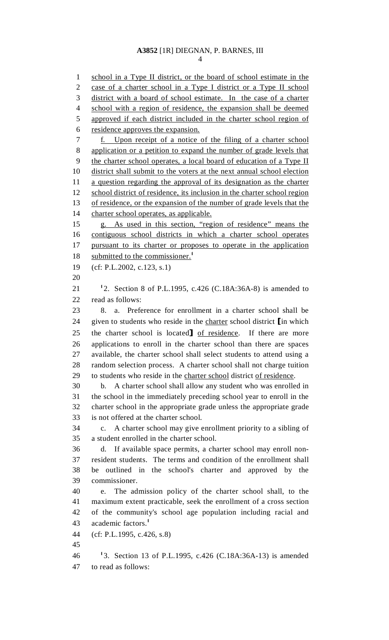### **A3852** [1R] DIEGNAN, P. BARNES, III 4

1 school in a Type II district, or the board of school estimate in the 2 case of a charter school in a Type I district or a Type II school 3 district with a board of school estimate.In the case of a charter 4 school with a region of residence, the expansion shall be deemed 5 approved if each district included in the charter school region of 6 residence approves the expansion. 7 f. Upon receipt of a notice of the filing of a charter school 8 application or a petition to expand the number of grade levels that 9 the charter school operates, a local board of education of a Type II 10 district shall submit to the voters at the next annual school election 11 a question regarding the approval of its designation as the charter 12 school district of residence, its inclusion in the charter school region 13 of residence, or the expansion of the number of grade levels that the 14 charter school operates, as applicable. 15 g. As used in this section, "region of residence" means the 16 contiguous school districts in which a charter school operates 17 pursuant to its charter or proposes to operate in the application 18 submitted to the commissioner.<sup>1</sup> 19 (cf: P.L.2002, c.123, s.1) 20 21 <sup>1</sup>2. Section 8 of P.L.1995, c.426 (C.18A:36A-8) is amended to 22 read as follows: 23 8. a. Preference for enrollment in a charter school shall be 24 given to students who reside in the charter school district [in which<br>25 the charter school is located] of residence. If there are more 25 the charter school is located <u>of residence</u>. If there are more<br>26 applications to enroll in the charter school than there are spaces applications to enroll in the charter school than there are spaces 27 available, the charter school shall select students to attend using a 28 random selection process. A charter school shall not charge tuition 29 to students who reside in the charter school district of residence. 30 b. A charter school shall allow any student who was enrolled in 31 the school in the immediately preceding school year to enroll in the 32 charter school in the appropriate grade unless the appropriate grade 33 is not offered at the charter school. 34 c. A charter school may give enrollment priority to a sibling of 35 a student enrolled in the charter school. 36 d. If available space permits, a charter school may enroll non-37 resident students. The terms and condition of the enrollment shall 38 be outlined in the school's charter and approved by the 39 commissioner. 40 e. The admission policy of the charter school shall, to the 41 maximum extent practicable, seek the enrollment of a cross section 42 of the community's school age population including racial and 43 academic factors.<sup>1</sup> 44 (cf: P.L.1995, c.426, s.8) 45 46 <sup>1</sup>3. Section 13 of P.L.1995, c.426 (C.18A:36A-13) is amended

47 to read as follows: